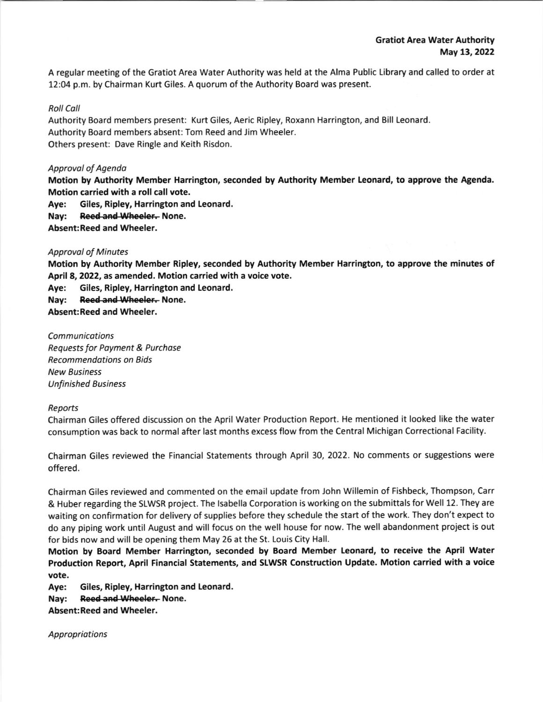A regular meeting of the Gratiot Area Water Authority was held at the Alma Public Library and called to order at 12:04 p.m. by Chairman Kurt Giles. A quorum of the Authority Board was present.

## Roll Call

Authority Board members present: Kurt Giles, Aeric Ripley, Roxann Harrington, and Bill Leonard Authority Board members absent: Tom Reed and Jim wheeler. Others present: Dave Ringle and Keith Risdon.

## Approval of Agenda

Motion by Authority Member Harrington, seconded by Authority Member Leonard, to approve the Agenda. Motion carried with a roll call vote.

Aye: Giles, Ripley, Harrington and Leonard.

Nay: Reed and Wheeler. None.

Absent: Reed and Wheeler,

## **Approval of Minutes**

Motion by Authority Member Ripley, seconded by Authority Member Harrington, to approve the minutes of April 8,2022, as amended. Motion carried with a voice vote.

Aye: Giles, Ripley, Harrington and Leonard.

Nay: Reed-and-Wheeler-None.

Absent:Reed and Wheeler.

**Communications** Requests for Poyment & Purchose Recommendotions on Bids New Business Unfinished Business

## Reports

Chairman Giles offered discussion on the April Water Production Report. He mentioned it looked like the water consumption was back to normal after last months excess flow from the Central Michigan Correctional Facility.

Chairman Giles reviewed the Financial Statements through April 30,2022. No comments or suggestions were offered.

Chairman Giles reviewed and commented on the email update from John Willemin of Fishbeck, Thompson, Carr & Huber regarding the SLWSR project. The Isabella Corporation is working on the submittals for Well 12. They are waiting on confirmation for delivery of supplies before they schedule the start of the work. They don't expect to do any piping work until August and will focus on the well house for now. The well abandonment project is out for bids now and will be opening them May 26 at the St. Louis City Hall.

Motion by Board Member Harrington, seconded by Board Member Leonard, to receive the April Water Production Report, April Financial Statements, and SLWSR Construction Update. Motion carried with a voice vote.

Aye: Giles, Ripley, Harrington and Leonard.

Nay: Reed and Wheeler. None.

Absent:Reed and Wheeler.

Appropriations